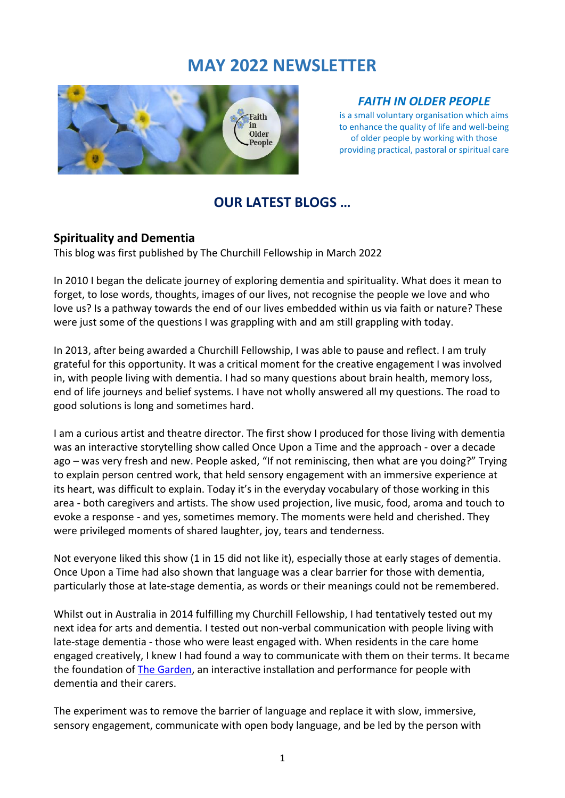## **MAY 2022 NEWSLETTER**



#### *FAITH IN OLDER PEOPLE*

is a small voluntary organisation which aims to enhance the quality of life and well-being of older people by working with those providing practical, pastoral or spiritual care

## **OUR LATEST BLOGS …**

#### **Spirituality and Dementia**

This blog was first published by The Churchill Fellowship in March 2022

In 2010 I began the delicate journey of exploring dementia and spirituality. What does it mean to forget, to lose words, thoughts, images of our lives, not recognise the people we love and who love us? Is a pathway towards the end of our lives embedded within us via faith or nature? These were just some of the questions I was grappling with and am still grappling with today.

In 2013, after being awarded a Churchill Fellowship, I was able to pause and reflect. I am truly grateful for this opportunity. It was a critical moment for the creative engagement I was involved in, with people living with dementia. I had so many questions about brain health, memory loss, end of life journeys and belief systems. I have not wholly answered all my questions. The road to good solutions is long and sometimes hard.

I am a curious artist and theatre director. The first show I produced for those living with dementia was an interactive storytelling show called Once Upon a Time and the approach - over a decade ago – was very fresh and new. People asked, "If not reminiscing, then what are you doing?" Trying to explain person centred work, that held sensory engagement with an immersive experience at its heart, was difficult to explain. Today it's in the everyday vocabulary of those working in this area - both caregivers and artists. The show used projection, live music, food, aroma and touch to evoke a response - and yes, sometimes memory. The moments were held and cherished. They were privileged moments of shared laughter, joy, tears and tenderness.

Not everyone liked this show (1 in 15 did not like it), especially those at early stages of dementia. Once Upon a Time had also shown that language was a clear barrier for those with dementia, particularly those at late-stage dementia, as words or their meanings could not be remembered.

Whilst out in Australia in 2014 fulfilling my Churchill Fellowship, I had tentatively tested out my next idea for arts and dementia. I tested out non-verbal communication with people living with late-stage dementia - those who were least engaged with. When residents in the care home engaged creatively, I knew I had found a way to communicate with them on their terms. It became the foundation of [The Garden,](https://www.youtube.com/watch?v=7XD8C4zbpl4&t=21s) an interactive installation and performance for people with dementia and their carers.

The experiment was to remove the barrier of language and replace it with slow, immersive, sensory engagement, communicate with open body language, and be led by the person with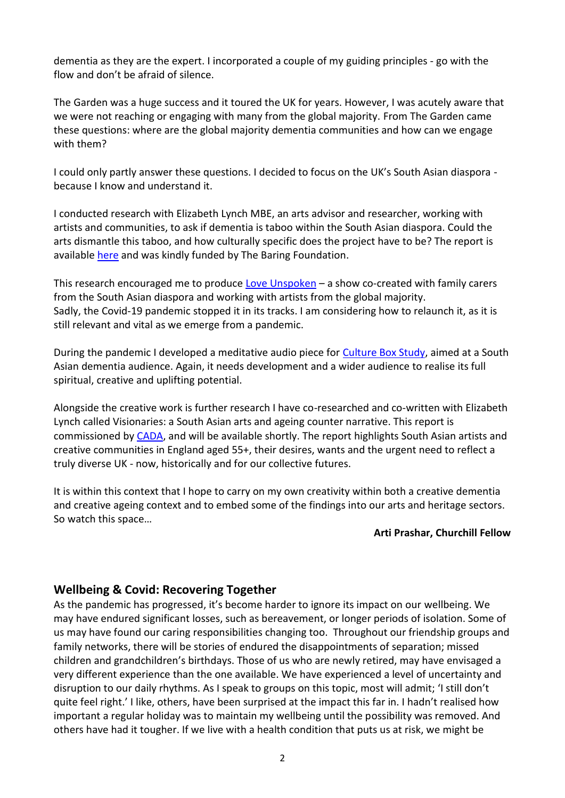dementia as they are the expert. I incorporated a couple of my guiding principles - go with the flow and don't be afraid of silence.

The Garden was a huge success and it toured the UK for years. However, I was acutely aware that we were not reaching or engaging with many from the global majority. From The Garden came these questions: where are the global majority dementia communities and how can we engage with them?

I could only partly answer these questions. I decided to focus on the UK's South Asian diaspora because I know and understand it.

I conducted research with Elizabeth Lynch MBE, an arts advisor and researcher, working with artists and communities, to ask if dementia is taboo within the South Asian diaspora. Could the arts dismantle this taboo, and how culturally specific does the project have to be? The report is available [here](https://baringfoundation.org.uk/resource/art-and-dementia-in-the-uk-south-asian-diaspora-2/) and was kindly funded by The Baring Foundation.

This research encouraged me to produce [Love Unspoken](https://www.sparetyre.org/watch-and-listen/the-making-of-love-unspoken) – a show co-created with family carers from the South Asian diaspora and working with artists from the global majority. Sadly, the Covid-19 pandemic stopped it in its tracks. I am considering how to relaunch it, as it is still relevant and vital as we emerge from a pandemic.

During the pandemic I developed a meditative audio piece for [Culture Box Study,](https://www.cultureboxstudy.org/) aimed at a South Asian dementia audience. Again, it needs development and a wider audience to realise its full spiritual, creative and uplifting potential.

Alongside the creative work is further research I have co-researched and co-written with Elizabeth Lynch called Visionaries: a South Asian arts and ageing counter narrative. This report is commissioned by [CADA,](https://cadaengland.org/) and will be available shortly. The report highlights South Asian artists and creative communities in England aged 55+, their desires, wants and the urgent need to reflect a truly diverse UK - now, historically and for our collective futures.

It is within this context that I hope to carry on my own creativity within both a creative dementia and creative ageing context and to embed some of the findings into our arts and heritage sectors. So watch this space…

#### **Arti Prashar, Churchill Fellow**

#### **Wellbeing & Covid: Recovering Together**

As the pandemic has progressed, it's become harder to ignore its impact on our wellbeing. We may have endured significant losses, such as bereavement, or longer periods of isolation. Some of us may have found our caring responsibilities changing too. Throughout our friendship groups and family networks, there will be stories of endured the disappointments of separation; missed children and grandchildren's birthdays. Those of us who are newly retired, may have envisaged a very different experience than the one available. We have experienced a level of uncertainty and disruption to our daily rhythms. As I speak to groups on this topic, most will admit; 'I still don't quite feel right.' I like, others, have been surprised at the impact this far in. I hadn't realised how important a regular holiday was to maintain my wellbeing until the possibility was removed. And others have had it tougher. If we live with a health condition that puts us at risk, we might be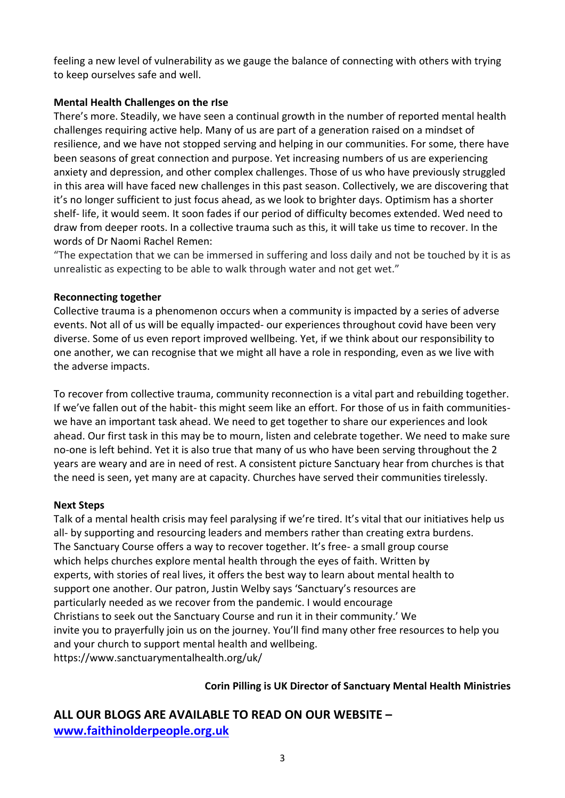feeling a new level of vulnerability as we gauge the balance of connecting with others with trying to keep ourselves safe and well.

#### **Mental Health Challenges on the rIse**

There's more. Steadily, we have seen a continual growth in the number of reported mental health challenges requiring active help. Many of us are part of a generation raised on a mindset of resilience, and we have not stopped serving and helping in our communities. For some, there have been seasons of great connection and purpose. Yet increasing numbers of us are experiencing anxiety and depression, and other complex challenges. Those of us who have previously struggled in this area will have faced new challenges in this past season. Collectively, we are discovering that it's no longer sufficient to just focus ahead, as we look to brighter days. Optimism has a shorter shelf- life, it would seem. It soon fades if our period of difficulty becomes extended. Wed need to draw from deeper roots. In a collective trauma such as this, it will take us time to recover. In the words of Dr Naomi Rachel Remen:

"The expectation that we can be immersed in suffering and loss daily and not be touched by it is as unrealistic as expecting to be able to walk through water and not get wet."

#### **Reconnecting together**

Collective trauma is a phenomenon occurs when a community is impacted by a series of adverse events. Not all of us will be equally impacted- our experiences throughout covid have been very diverse. Some of us even report improved wellbeing. Yet, if we think about our responsibility to one another, we can recognise that we might all have a role in responding, even as we live with the adverse impacts.

To recover from collective trauma, community reconnection is a vital part and rebuilding together. If we've fallen out of the habit- this might seem like an effort. For those of us in faith communitieswe have an important task ahead. We need to get together to share our experiences and look ahead. Our first task in this may be to mourn, listen and celebrate together. We need to make sure no-one is left behind. Yet it is also true that many of us who have been serving throughout the 2 years are weary and are in need of rest. A consistent picture Sanctuary hear from churches is that the need is seen, yet many are at capacity. Churches have served their communities tirelessly.

#### **Next Steps**

Talk of a mental health crisis may feel paralysing if we're tired. It's vital that our initiatives help us all- by supporting and resourcing leaders and members rather than creating extra burdens. The Sanctuary Course offers a way to recover together. It's free- a small group course which helps churches explore mental health through the eyes of faith. Written by experts, with stories of real lives, it offers the best way to learn about mental health to support one another. Our patron, Justin Welby says 'Sanctuary's resources are particularly needed as we recover from the pandemic. I would encourage Christians to seek out the Sanctuary Course and run it in their community.' We invite you to prayerfully join us on the journey. You'll find many other free resources to help you and your church to support mental health and wellbeing. https://www.sanctuarymentalhealth.org/uk/

#### **Corin Pilling is UK Director of Sanctuary Mental Health Ministries**

**ALL OUR BLOGS ARE AVAILABLE TO READ ON OUR WEBSITE – [www.faithinolderpeople.org.uk](http://www.faithinolderpeople.org.uk/)**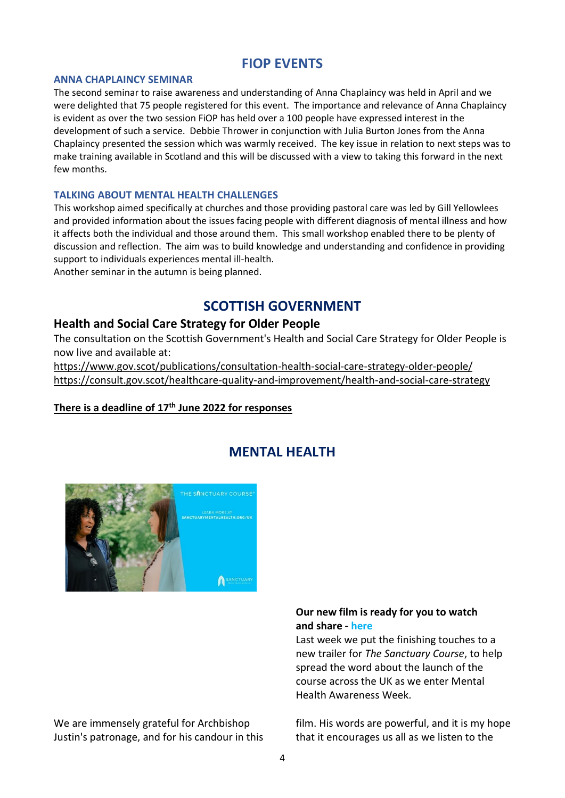## **FIOP EVENTS**

#### **ANNA CHAPLAINCY SEMINAR**

The second seminar to raise awareness and understanding of Anna Chaplaincy was held in April and we were delighted that 75 people registered for this event. The importance and relevance of Anna Chaplaincy is evident as over the two session FiOP has held over a 100 people have expressed interest in the development of such a service. Debbie Thrower in conjunction with Julia Burton Jones from the Anna Chaplaincy presented the session which was warmly received. The key issue in relation to next steps was to make training available in Scotland and this will be discussed with a view to taking this forward in the next few months.

#### **TALKING ABOUT MENTAL HEALTH CHALLENGES**

This workshop aimed specifically at churches and those providing pastoral care was led by Gill Yellowlees and provided information about the issues facing people with different diagnosis of mental illness and how it affects both the individual and those around them. This small workshop enabled there to be plenty of discussion and reflection. The aim was to build knowledge and understanding and confidence in providing support to individuals experiences mental ill-health.

Another seminar in the autumn is being planned.

## **SCOTTISH GOVERNMENT**

#### **Health and Social Care Strategy for Older People**

The consultation on the Scottish Government's Health and Social Care Strategy for Older People is now live and available at:

<https://www.gov.scot/publications/consultation-health-social-care-strategy-older-people/> <https://consult.gov.scot/healthcare-quality-and-improvement/health-and-social-care-strategy>

#### **There is a deadline of 17th June 2022 for responses**



## **MENTAL HEALT[H](file:///C:/Users/Mary/AppData/Local/Microsoft/Windows/INetCache/Content.Outlook/WXOV53RI/Our%20new%20film%20for%20Mental%20Health%20Awareness%20Week-%20with%20a%20special%20Introduction%20(mailchi.mp))**

We are immensely grateful for Archbishop Justin's patronage, and for his candour in this

#### **Our new film is ready for you to watch and share - here**

Last week we put the finishing touches to a new trailer for *The Sanctuary Course*, to help spread the word about the launch of the course across the UK as we enter Mental Health Awareness Week.

film. His words are powerful, and it is my hope that it encourages us all as we listen to the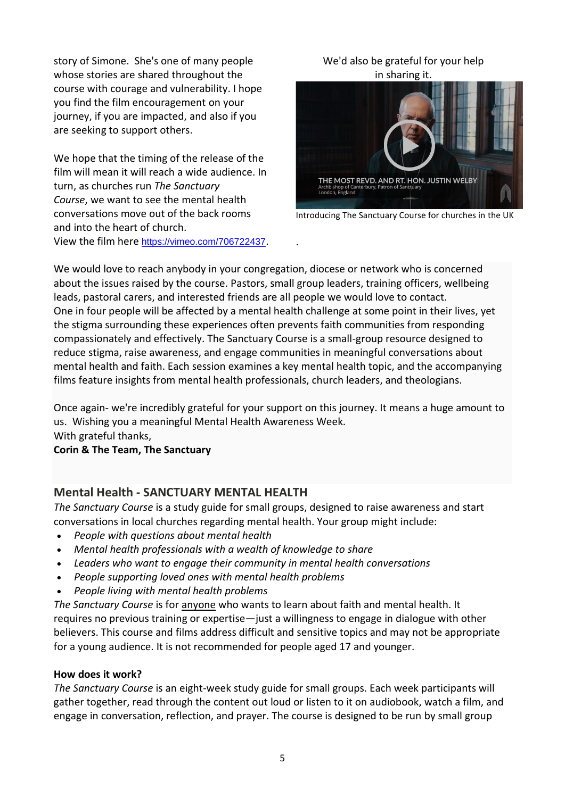story of Simone. She's one of many people whose stories are shared throughout the course with courage and vulnerability. I hope you find the film encouragement on your journey, if you are impacted, and also if you are seeking to support others.

We hope that the timing of the release of the film will mean it will reach a wide audience. In turn, as churches run *The Sanctuary Course*, we want to see the mental health conversations move out of the back rooms and into the heart of church.

View the film here <https://vimeo.com/706722437>.

#### We'd also be grateful for your help in sharing it.



Introducing The Sanctuary Course for churches in the UK

We would love to reach anybody in your congregation, diocese or network who is concerned about the issues raised by the course. Pastors, small group leaders, training officers, wellbeing leads, pastoral carers, and interested friends are all people we would love to contact. One in four people will be affected by a mental health challenge at some point in their lives, yet the stigma surrounding these experiences often prevents faith communities from responding compassionately and effectively. The Sanctuary Course is a small-group resource designed to reduce stigma, raise awareness, and engage communities in meaningful conversations about mental health and faith. Each session examines a key mental health topic, and the accompanying films feature insights from mental health professionals, church leaders, and theologians.

.

Once again- we're incredibly grateful for your support on this journey. It means a huge amount to us. Wishing you a meaningful Mental Health Awareness Week. With grateful thanks,

#### **Corin & The Team, The Sanctuary**

#### **Mental Health - SANCTUARY MENTAL HEALTH**

*The Sanctuary Course* is a study guide for small groups, designed to raise awareness and start conversations in local churches regarding mental health. Your group might include:

- *People with questions about mental health*
- *Mental health professionals with a wealth of knowledge to share*
- *Leaders who want to engage their community in mental health conversations*
- *People supporting loved ones with mental health problems*
- *People living with mental health problems*

*The Sanctuary Course* is for anyone who wants to learn about faith and mental health. It requires no previous training or expertise—just a willingness to engage in dialogue with other believers. This course and films address difficult and sensitive topics and may not be appropriate for a young audience. It is not recommended for people aged 17 and younger.

#### **How does it work?**

*The Sanctuary Course* is an eight-week study guide for small groups. Each week participants will gather together, read through the content out loud or listen to it on audiobook, watch a film, and engage in conversation, reflection, and prayer. The course is designed to be run by small group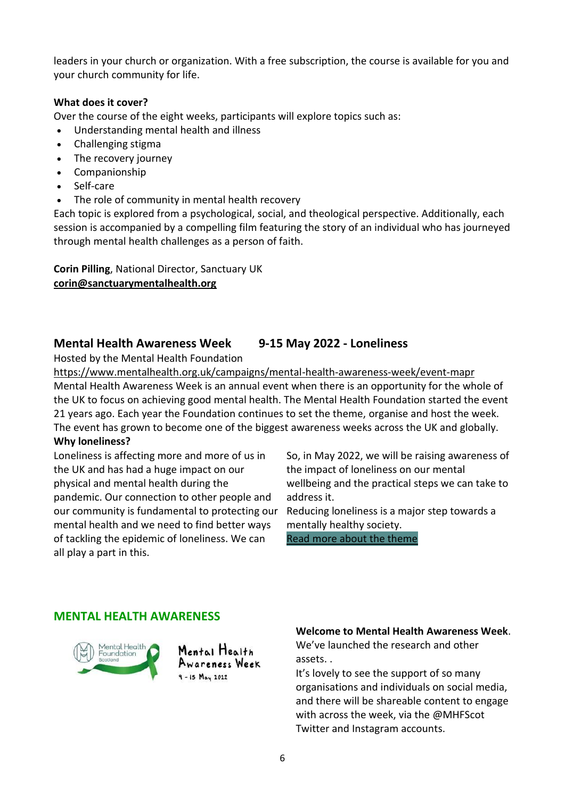leaders in your church or organization. With a free subscription, the course is available for you and your church community for life.

#### **What does it cover?**

Over the course of the eight weeks, participants will explore topics such as:

- Understanding mental health and illness
- Challenging stigma
- The recovery journey
- Companionship
- Self-care
- The role of community in mental health recovery

Each topic is explored from a psychological, social, and theological perspective. Additionally, each session is accompanied by a compelling film featuring the story of an individual who has journeyed through mental health challenges as a person of faith.

**Corin Pilling**, National Director, Sanctuary UK **[corin@sanctuarymentalhealth.org](mailto:corin@sanctuarymentalhealth.org)**

#### **Mental Health Awareness Week 9-15 May 2022 - Loneliness**

Hosted by the Mental Health Foundation

<https://www.mentalhealth.org.uk/campaigns/mental-health-awareness-week/event-mapr> Mental Health Awareness Week is an annual event when there is an opportunity for the whole of the UK to focus on achieving good mental health. The Mental Health Foundation started the event 21 years ago. Each year the Foundation continues to set the theme, organise and host the week. The event has grown to become one of the biggest awareness weeks across the UK and globally.

#### **Why loneliness?**

Loneliness is affecting more and more of us in the UK and has had a huge impact on our physical and mental health during the pandemic. Our connection to other people and our community is fundamental to protecting our mental health and we need to find better ways of tackling the epidemic of loneliness. We can all play a part in this.

So, in May 2022, we will be raising awareness of the impact of loneliness on our mental wellbeing and the practical steps we can take to address it.

Reducing loneliness is a major step towards a mentally healthy society. [Read more about the theme](https://www.mentalhealth.org.uk/news/mental-health-foundation-announces-loneliness-theme-mental-health-awareness-week-2022)

**MENTAL HEALTH AWARENESS**



Mental Health Awareness Week  $9 - 15$   $May 2022$ 

#### **Welcome to Mental Health Awareness Week**.

We've launched the research and other assets. .

It's lovely to see the support of so many organisations and individuals on social media, and there will be shareable content to engage with across the week, via the @MHFScot Twitter and Instagram accounts.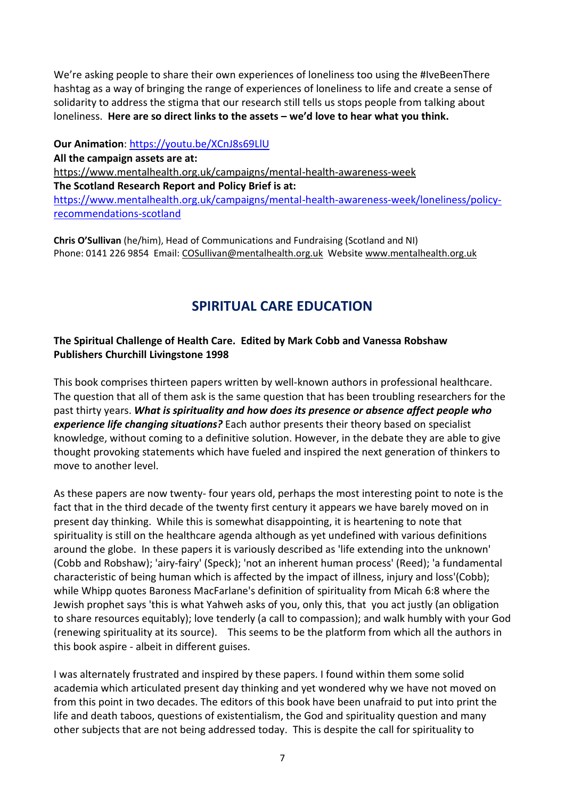We're asking people to share their own experiences of loneliness too using the #IveBeenThere hashtag as a way of bringing the range of experiences of loneliness to life and create a sense of solidarity to address the stigma that our research still tells us stops people from talking about loneliness. **Here are so direct links to the assets – we'd love to hear what you think.** 

**Our Animation**: <https://youtu.be/XCnJ8s69LlU>

**All the campaign assets are at:** <https://www.mentalhealth.org.uk/campaigns/mental-health-awareness-week>

**The Scotland Research Report and Policy Brief is at:** [https://www.mentalhealth.org.uk/campaigns/mental-health-awareness-week/loneliness/policy](https://www.mentalhealth.org.uk/campaigns/mental-health-awareness-week/loneliness/policy-recommendations-scotland)[recommendations-scotland](https://www.mentalhealth.org.uk/campaigns/mental-health-awareness-week/loneliness/policy-recommendations-scotland)

**Chris O'Sullivan** (he/him), Head of Communications and Fundraising (Scotland and NI) Phone: 0141 226 9854 Email: [COSullivan@mentalhealth.org.uk](mailto:COSullivan@mentalhealth.org.uk) Website [www.mentalhealth.org.uk](http://www.mentalhealth.org.uk/)

## **SPIRITUAL CARE EDUCATION**

#### **The Spiritual Challenge of Health Care. Edited by Mark Cobb and Vanessa Robshaw Publishers Churchill Livingstone 1998**

This book comprises thirteen papers written by well-known authors in professional healthcare. The question that all of them ask is the same question that has been troubling researchers for the past thirty years. *What is spirituality and how does its presence or absence affect people who experience life changing situations?* Each author presents their theory based on specialist knowledge, without coming to a definitive solution. However, in the debate they are able to give thought provoking statements which have fueled and inspired the next generation of thinkers to move to another level.

As these papers are now twenty- four years old, perhaps the most interesting point to note is the fact that in the third decade of the twenty first century it appears we have barely moved on in present day thinking. While this is somewhat disappointing, it is heartening to note that spirituality is still on the healthcare agenda although as yet undefined with various definitions around the globe. In these papers it is variously described as 'life extending into the unknown' (Cobb and Robshaw); 'airy-fairy' (Speck); 'not an inherent human process' (Reed); 'a fundamental characteristic of being human which is affected by the impact of illness, injury and loss'(Cobb); while Whipp quotes Baroness MacFarlane's definition of spirituality from Micah 6:8 where the Jewish prophet says 'this is what Yahweh asks of you, only this, that you act justly (an obligation to share resources equitably); love tenderly (a call to compassion); and walk humbly with your God (renewing spirituality at its source). This seems to be the platform from which all the authors in this book aspire - albeit in different guises.

I was alternately frustrated and inspired by these papers. I found within them some solid academia which articulated present day thinking and yet wondered why we have not moved on from this point in two decades. The editors of this book have been unafraid to put into print the life and death taboos, questions of existentialism, the God and spirituality question and many other subjects that are not being addressed today. This is despite the call for spirituality to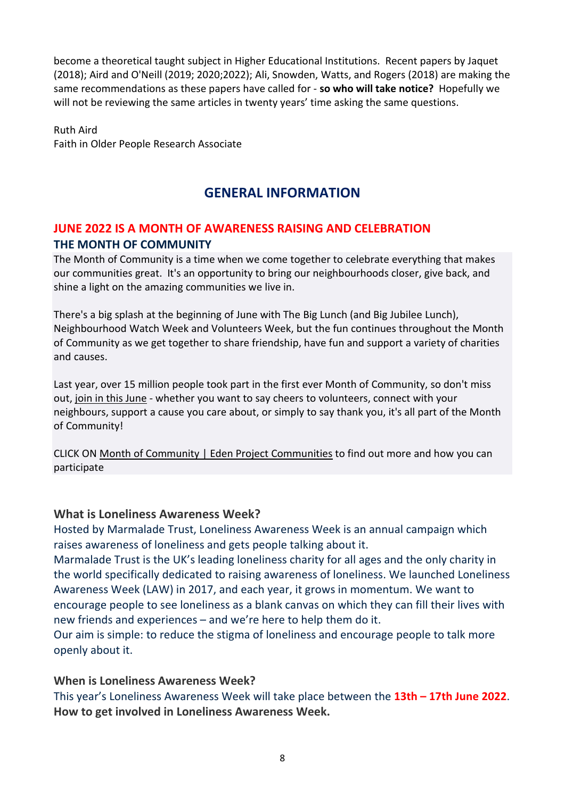become a theoretical taught subject in Higher Educational Institutions. Recent papers by Jaquet (2018); Aird and O'Neill (2019; 2020;2022); Ali, Snowden, Watts, and Rogers (2018) are making the same recommendations as these papers have called for - **so who will take notice?** Hopefully we will not be reviewing the same articles in twenty years' time asking the same questions.

Ruth Aird Faith in Older People Research Associate

## **GENERAL INFORMATION**

## **JUNE 2022 IS A MONTH OF AWARENESS RAISING AND CELEBRATION THE MONTH OF COMMUNITY**

The Month of Community is a time when we come together to celebrate everything that makes our communities great. It's an opportunity to bring our neighbourhoods closer, give back, and shine a light on the amazing communities we live in.

There's a big splash at the beginning of June with The Big Lunch (and Big Jubilee Lunch), Neighbourhood Watch Week and Volunteers Week, but the fun continues throughout the Month of Community as we get together to share friendship, have fun and support a variety of charities and causes.

Last year, over 15 million people took part in the first ever Month of Community, so don't miss out, join in this [June](http://www.thebiglunch.com/getyourpack) - whether you want to say cheers to volunteers, connect with your neighbours, support a cause you care about, or simply to say thank you, it's all part of the Month of Community!

CLICK ON Month of Community | Eden Project [Communities](https://www.edenprojectcommunities.com/month-of-community) to find out more and how you can participate

### **What is Loneliness Awareness Week?**

Hosted by Marmalade Trust, Loneliness Awareness Week is an annual campaign which raises awareness of loneliness and gets people talking about it.

Marmalade Trust is the UK's leading loneliness charity for all ages and the only charity in the world specifically dedicated to raising awareness of loneliness. We launched Loneliness Awareness Week (LAW) in 2017, and each year, it grows in momentum. We want to encourage people to see loneliness as a blank canvas on which they can fill their lives with new friends and experiences – and we're here to help them do it.

Our aim is simple: to reduce the stigma of loneliness and encourage people to talk more openly about it.

### **When is Loneliness Awareness Week?**

This year's Loneliness Awareness Week will take place between the **13th – 17th June 2022**. **How to get involved in Loneliness Awareness Week.**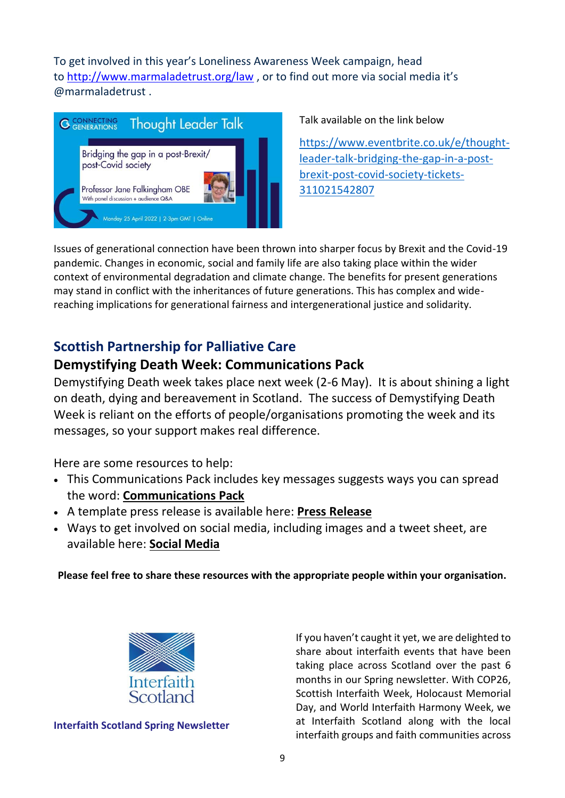To get involved in this year's Loneliness Awareness Week campaign, head to <http://www.marmaladetrust.org/law> , or to find out more via social media it's @marmaladetrust .



Talk available on the link below

[https://www.eventbrite.co.uk/e/thought](https://www.eventbrite.co.uk/e/thought-leader-talk-bridging-the-gap-in-a-post-brexit-post-covid-society-tickets-311021542807)[leader-talk-bridging-the-gap-in-a-post](https://www.eventbrite.co.uk/e/thought-leader-talk-bridging-the-gap-in-a-post-brexit-post-covid-society-tickets-311021542807)[brexit-post-covid-society-tickets-](https://www.eventbrite.co.uk/e/thought-leader-talk-bridging-the-gap-in-a-post-brexit-post-covid-society-tickets-311021542807)[311021542807](https://www.eventbrite.co.uk/e/thought-leader-talk-bridging-the-gap-in-a-post-brexit-post-covid-society-tickets-311021542807)

Issues of generational connection have been thrown into sharper focus by Brexit and the Covid-19 pandemic. Changes in economic, social and family life are also taking place within the wider context of environmental degradation and climate change. The benefits for present generations may stand in conflict with the inheritances of future generations. This has complex and widereaching implications for generational fairness and intergenerational justice and solidarity.

## **Scottish Partnership for Palliative Care**

## **Demystifying Death Week: Communications Pack**

Demystifying Death week takes place next week (2-6 May). It is about shining a light on death, dying and bereavement in Scotland. The success of Demystifying Death Week is reliant on the efforts of people/organisations promoting the week and its messages, so your support makes real difference.

Here are some resources to help:

- This Communications Pack includes key messages suggests ways you can spread the word: **[Communications](https://www.goodlifedeathgrief.org.uk/content/resources/Communications_pack_2022.pdf) Pack**
- A template press release is available here: **Press [Release](https://www.goodlifedeathgrief.org.uk/content/resources/1651059352_DD_week_press_release_template.docx)**
- Ways to get involved on social media, including images and a tweet sheet, are available here: **Social [Media](https://www.goodlifedeathgrief.org.uk/content/social_media/)**

**Please feel free to share these resources with the appropriate people within your organisation.**



**Interfaith Scotland Spring Newsletter** 

If you haven't caught it yet, we are delighted to share about interfaith events that have been taking place across Scotland over the past 6 months in our Spring newsletter. With COP26, Scottish Interfaith Week, Holocaust Memorial Day, and World Interfaith Harmony Week, we at Interfaith Scotland along with the local interfaith groups and faith communities across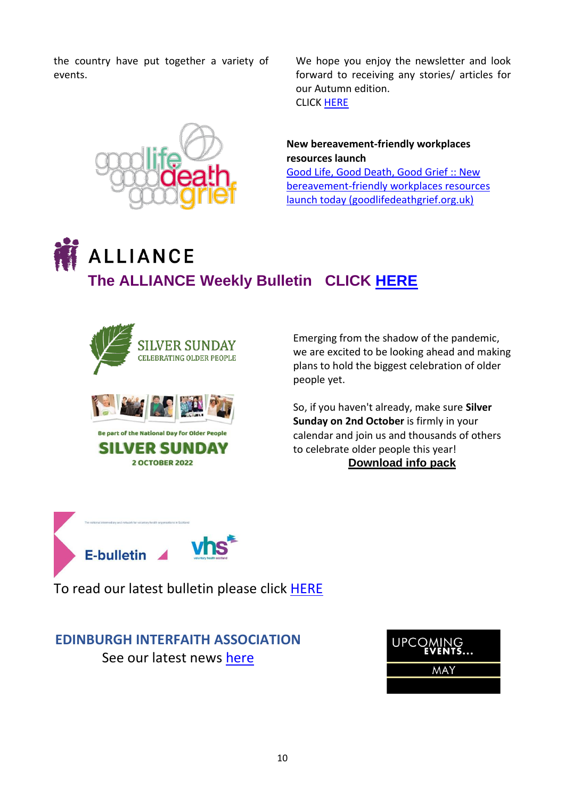the country have put together a variety of events.



We hope you enjoy the newsletter and look forward to receiving any stories/ articles for our Autumn edition. CLICK [HERE](https://mailchi.mp/38bdeeff4b27/spring-newsletter-is-here?e=9140a22420)

**New bereavement-friendly workplaces resources launch** [Good Life, Good Death, Good Grief :: New](https://www.goodlifedeathgrief.org.uk/viewmail.php?i=5631&l=1&m=1651571591&c=24e03dfce2432205cb641cccdc866a09) 

[bereavement-friendly workplaces resources](https://www.goodlifedeathgrief.org.uk/viewmail.php?i=5631&l=1&m=1651571591&c=24e03dfce2432205cb641cccdc866a09)  [launch today \(goodlifedeathgrief.org.uk\)](https://www.goodlifedeathgrief.org.uk/viewmail.php?i=5631&l=1&m=1651571591&c=24e03dfce2432205cb641cccdc866a09)

# **ALLIANCE The ALLIANCE Weekly Bulletin CLICK [HERE](https://civi.alliance-scotland.org.uk/civicrm/mailing/view?reset=1&id=44c3032c0362a602)**



Emerging from the shadow of the pandemic, we are excited to be looking ahead and making plans to hold the biggest celebration of older people yet.

So, if you haven't already, make sure **Silver Sunday on 2nd October** is firmly in your calendar and join us and thousands of others to celebrate older people this year! **[Download info pack](https://silversunday.us16.list-manage.com/track/click?u=dc1949710abd5f49120735c40&id=caca9ad60c&e=92fa61db34)**



To read our latest bulletin please click [HERE](https://voluntaryhealthscotland.cmail20.com/t/ViewEmail/j/42B31384686814612540EF23F30FEDED/61DD1FC7168208E62A1BF84ACBDD178B?alternativeLink=False)

## **EDINBURGH INTERFAITH ASSOCIATION** See our latest news [here](https://mailchi.mp/cf32a88d8b11/interfaith-matters-march-15348760?e=72722a224e)

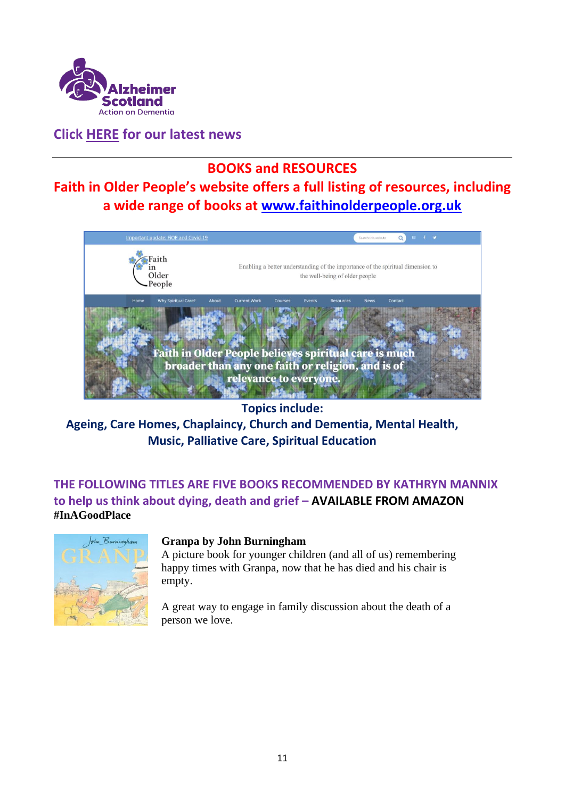

**Click [HERE](https://www.alzscot.org/news) for our latest news**

## **BOOKS and RESOURCES**

**Faith in Older People's website offers a full listing of resources, including a wide range of books at [www.faithinolderpeople.org.uk](http://www.faithinolderpeople.org.uk/)**



**Topics include:**

**Ageing, Care Homes, Chaplaincy, Church and Dementia, Mental Health, Music, Palliative Care, Spiritual Education**

**THE FOLLOWING TITLES ARE FIVE BOOKS RECOMMENDED BY KATHRYN MANNIX to help us think about dying, death and grief – AVAILABLE FROM AMAZON #InAGoodPlace**



#### **Granpa by John Burningham**

A picture book for younger children (and all of us) remembering happy times with Granpa, now that he has died and his chair is empty.

A great way to engage in family discussion about the death of a person we love.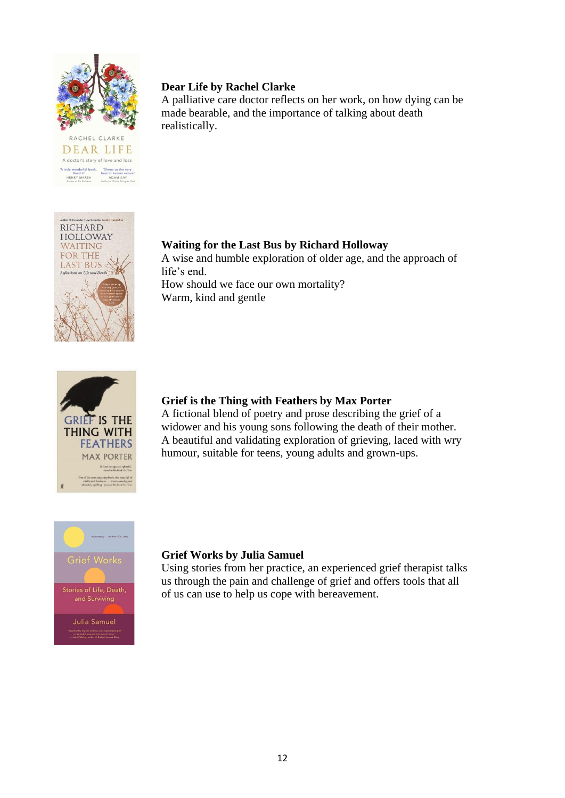

 $\begin{tabular}{l l l} {\bf A truly wonderful book.} & {\bf 7 shows us the ver}{\bf 8 each if'} & {\bf 19.5 shows the user of human nature of the number of the number of the number of the form.} \\ & {\bf 19.605} & {\bf 19.75} & {\bf 19.800} & {\bf 19.800} & {\bf 19.810} & {\bf 19.810} & {\bf 19.810} & {\bf 19.810} & {\bf 19.810} & {\bf 19.810} & {\bf 19.810} & {\bf 19.810} & {\bf 19.810} & {\bf 19.810} & {\bf$ 

#### **Dear Life by Rachel Clarke**

A palliative care doctor reflects on her work, on how dying can be made bearable, and the importance of talking about death realistically.



#### **Waiting for the Last Bus by Richard Holloway**

A wise and humble exploration of older age, and the approach of life's end.

How should we face our own mortality? Warm, kind and gentle



#### **Grief is the Thing with Feathers by Max Porter**

A fictional blend of poetry and prose describing the grief of a widower and his young sons following the death of their mother. A beautiful and validating exploration of grieving, laced with wry humour, suitable for teens, young adults and grown-ups.



#### **Grief Works by Julia Samuel**

Using stories from her practice, an experienced grief therapist talks us through the pain and challenge of grief and offers tools that all of us can use to help us cope with bereavement.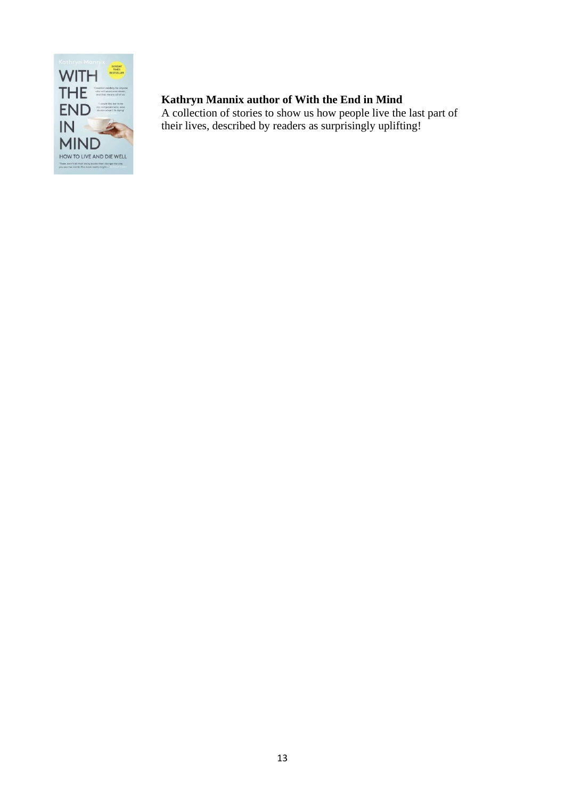

## **Kathryn Mannix author of With the End in Mind**

A collection of stories to show us how people live the last part of their lives, described by readers as surprisingly uplifting!